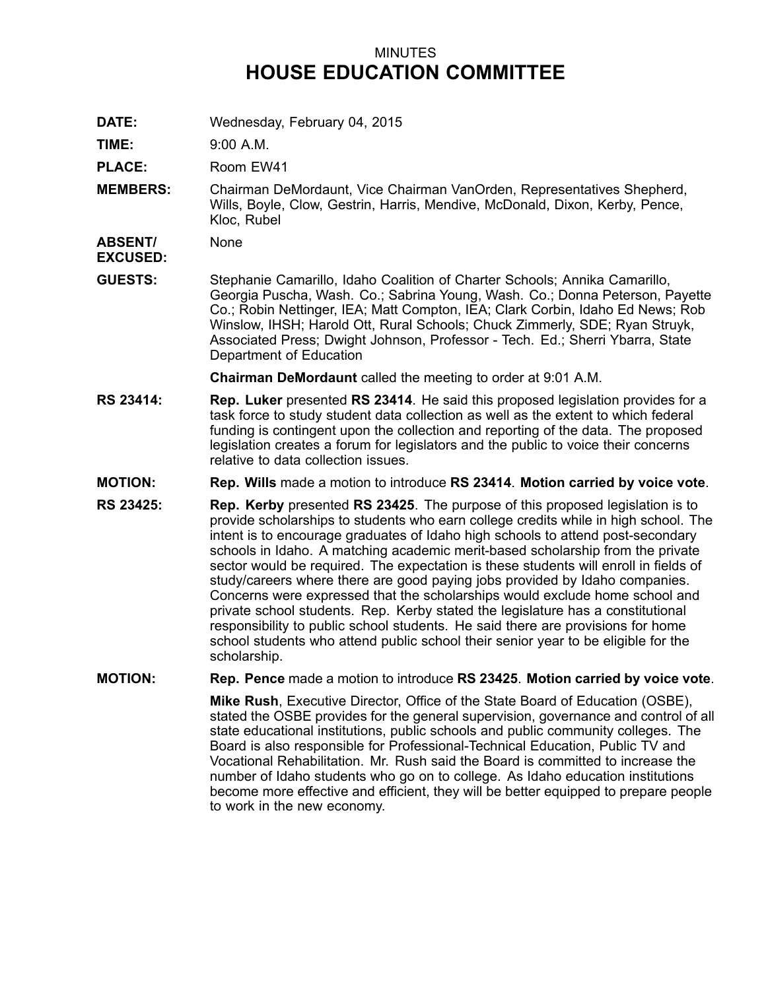## MINUTES **HOUSE EDUCATION COMMITTEE**

**DATE:** Wednesday, February 04, 2015

**TIME:** 9:00 A.M.

PLACE: Room EW41

**MEMBERS:** Chairman DeMordaunt, Vice Chairman VanOrden, Representatives Shepherd, Wills, Boyle, Clow, Gestrin, Harris, Mendive, McDonald, Dixon, Kerby, Pence, Kloc, Rubel

**ABSENT/** None

**EXCUSED:**

**GUESTS:** Stephanie Camarillo, Idaho Coalition of Charter Schools; Annika Camarillo, Georgia Puscha, Wash. Co.; Sabrina Young, Wash. Co.; Donna Peterson, Payette Co.; Robin Nettinger, IEA; Matt Compton, IEA; Clark Corbin, Idaho Ed News; Rob Winslow, IHSH; Harold Ott, Rural Schools; Chuck Zimmerly, SDE; Ryan Struyk, Associated Press; Dwight Johnson, Professor - Tech. Ed.; Sherri Ybarra, State Department of Education

**Chairman DeMordaunt** called the meeting to order at 9:01 A.M.

- **RS 23414: Rep. Luker** presented **RS 23414**. He said this proposed legislation provides for <sup>a</sup> task force to study student data collection as well as the extent to which federal funding is contingent upon the collection and reporting of the data. The proposed legislation creates <sup>a</sup> forum for legislators and the public to voice their concerns relative to data collection issues.
- **MOTION: Rep. Wills** made <sup>a</sup> motion to introduce **RS 23414**. **Motion carried by voice vote**.
- **RS 23425: Rep. Kerby** presented **RS 23425**. The purpose of this proposed legislation is to provide scholarships to students who earn college credits while in high school. The intent is to encourage graduates of Idaho high schools to attend post-secondary schools in Idaho. A matching academic merit-based scholarship from the private sector would be required. The expectation is these students will enroll in fields of study/careers where there are good paying jobs provided by Idaho companies. Concerns were expressed that the scholarships would exclude home school and private school students. Rep. Kerby stated the legislature has <sup>a</sup> constitutional responsibility to public school students. He said there are provisions for home school students who attend public school their senior year to be eligible for the scholarship.

## **MOTION: Rep. Pence** made <sup>a</sup> motion to introduce **RS 23425**. **Motion carried by voice vote**.

**Mike Rush**, Executive Director, Office of the State Board of Education (OSBE), stated the OSBE provides for the general supervision, governance and control of all state educational institutions, public schools and public community colleges. The Board is also responsible for Professional-Technical Education, Public TV and Vocational Rehabilitation. Mr. Rush said the Board is committed to increase the number of Idaho students who go on to college. As Idaho education institutions become more effective and efficient, they will be better equipped to prepare people to work in the new economy.